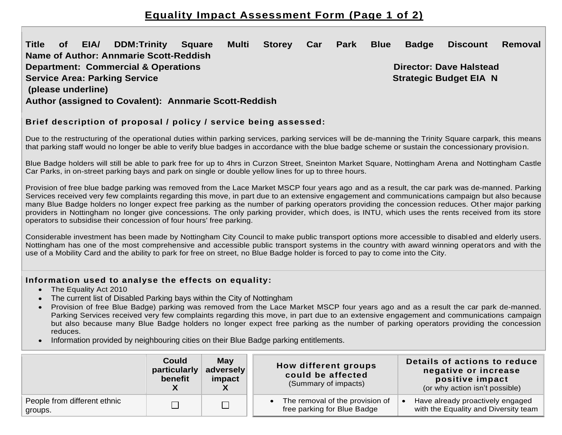# **Equality Impact Assessment Form (Page 1 of 2)**

### **Title of EIA/ DDM:Trinity Square Multi Storey Car Park Blue Badge Discount Removal Name of Author: Annmarie Scott-Reddish Department: Commercial & Operations Director: Dave Halstead Director: Dave Halstead Director: Dave Halstead Actions Actions Actions Actions Actions Actions Actions Actions Actions Actions Actions Actions Actions Actions A Service Area: Parking Service Strategic Budget EIA N (please underline) Author (assigned to Covalent): Annmarie Scott-Reddish**

#### **Brief description of proposal / policy / service being assessed:**

Due to the restructuring of the operational duties within parking services, parking services will be de-manning the Trinity Square carpark, this means that parking staff would no longer be able to verify blue badges in accordance with the blue badge scheme or sustain the concessionary provision.

Blue Badge holders will still be able to park free for up to 4hrs in Curzon Street, Sneinton Market Square, Nottingham Arena and Nottingham Castle Car Parks, in on-street parking bays and park on single or double yellow lines for up to three hours.

Provision of free blue badge parking was removed from the Lace Market MSCP four years ago and as a result, the car park was de-manned. Parking Services received very few complaints regarding this move, in part due to an extensive engagement and communications campaign but also because many Blue Badge holders no longer expect free parking as the number of parking operators providing the concession reduces. Other major parking providers in Nottingham no longer give concessions. The only parking provider, which does, is INTU, which uses the rents received from its store operators to subsidise their concession of four hours' free parking.

Considerable investment has been made by Nottingham City Council to make public transport options more accessible to disabled and elderly users. Nottingham has one of the most comprehensive and accessible public transport systems in the country with award winning operators and with the use of a Mobility Card and the ability to park for free on street, no Blue Badge holder is forced to pay to come into the City.

#### **Information used to analyse the effects on equality:**

- The Equality Act 2010
- The current list of Disabled Parking bays within the City of Nottingham
- Provision of free Blue Badge) parking was removed from the Lace Market MSCP four years ago and as a result the car park de-manned. Parking Services received very few complaints regarding this move, in part due to an extensive engagement and communications campaign but also because many Blue Badge holders no longer expect free parking as the number of parking operators providing the concession reduces.
- Information provided by neighbouring cities on their Blue Badge parking entitlements.

|                                         | Could<br>particularly<br>benefit | <b>May</b><br>adversely<br>impact | How different groups<br>could be affected<br>(Summary of impacts) | Details of actions to reduce<br>negative or increase<br>positive impact<br>(or why action isn't possible) |
|-----------------------------------------|----------------------------------|-----------------------------------|-------------------------------------------------------------------|-----------------------------------------------------------------------------------------------------------|
| People from different ethnic<br>groups. |                                  |                                   | The removal of the provision of<br>free parking for Blue Badge    | Have already proactively engaged<br>with the Equality and Diversity team                                  |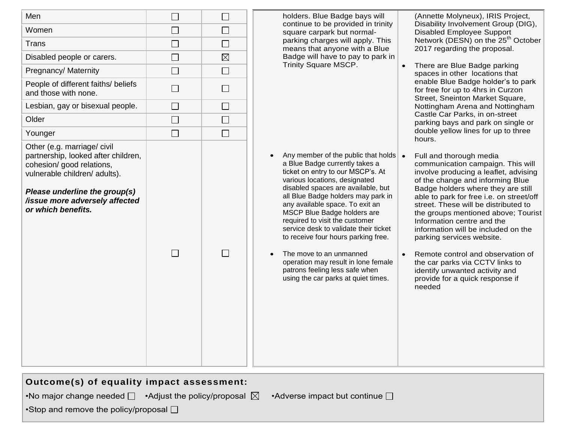| Men                                                                                                                                                                                                                       | $\Box$            | $\Box$      | holders. Blue Badge bays will<br>continue to be provided in trinity<br>square carpark but normal-<br>parking charges will apply. This<br>means that anyone with a Blue<br>Badge will have to pay to park in<br>Trinity Square MSCP.<br>Castle Car Parks, in on-street                                                                                                                                                                                                                                                                                            | (Annette Molyneux), IRIS Project,<br>Disability Involvement Group (DIG),<br><b>Disabled Employee Support</b><br>Network (DESN) on the 25 <sup>th</sup> October<br>2017 regarding the proposal.<br>There are Blue Badge parking<br>spaces in other locations that<br>enable Blue Badge holder's to park<br>for free for up to 4hrs in Curzon<br>Street, Sneinton Market Square,                                                                                                                                                                                      |
|---------------------------------------------------------------------------------------------------------------------------------------------------------------------------------------------------------------------------|-------------------|-------------|------------------------------------------------------------------------------------------------------------------------------------------------------------------------------------------------------------------------------------------------------------------------------------------------------------------------------------------------------------------------------------------------------------------------------------------------------------------------------------------------------------------------------------------------------------------|---------------------------------------------------------------------------------------------------------------------------------------------------------------------------------------------------------------------------------------------------------------------------------------------------------------------------------------------------------------------------------------------------------------------------------------------------------------------------------------------------------------------------------------------------------------------|
| Women                                                                                                                                                                                                                     | $\vert \ \ \vert$ | $\Box$      |                                                                                                                                                                                                                                                                                                                                                                                                                                                                                                                                                                  |                                                                                                                                                                                                                                                                                                                                                                                                                                                                                                                                                                     |
| <b>Trans</b>                                                                                                                                                                                                              | $\Box$            | $\Box$      |                                                                                                                                                                                                                                                                                                                                                                                                                                                                                                                                                                  |                                                                                                                                                                                                                                                                                                                                                                                                                                                                                                                                                                     |
| Disabled people or carers.                                                                                                                                                                                                | $\Box$            | $\boxtimes$ |                                                                                                                                                                                                                                                                                                                                                                                                                                                                                                                                                                  |                                                                                                                                                                                                                                                                                                                                                                                                                                                                                                                                                                     |
| Pregnancy/ Maternity                                                                                                                                                                                                      | $\Box$            | $\Box$      |                                                                                                                                                                                                                                                                                                                                                                                                                                                                                                                                                                  |                                                                                                                                                                                                                                                                                                                                                                                                                                                                                                                                                                     |
| People of different faiths/ beliefs<br>and those with none.                                                                                                                                                               | $\Box$            | $\Box$      |                                                                                                                                                                                                                                                                                                                                                                                                                                                                                                                                                                  |                                                                                                                                                                                                                                                                                                                                                                                                                                                                                                                                                                     |
| Lesbian, gay or bisexual people.                                                                                                                                                                                          | $\Box$            | $\Box$      |                                                                                                                                                                                                                                                                                                                                                                                                                                                                                                                                                                  | Nottingham Arena and Nottingham                                                                                                                                                                                                                                                                                                                                                                                                                                                                                                                                     |
| Older                                                                                                                                                                                                                     | $\Box$            | $\Box$      |                                                                                                                                                                                                                                                                                                                                                                                                                                                                                                                                                                  | parking bays and park on single or                                                                                                                                                                                                                                                                                                                                                                                                                                                                                                                                  |
| Younger                                                                                                                                                                                                                   | $\Box$            | $\Box$      |                                                                                                                                                                                                                                                                                                                                                                                                                                                                                                                                                                  | double yellow lines for up to three<br>hours.                                                                                                                                                                                                                                                                                                                                                                                                                                                                                                                       |
| Other (e.g. marriage/ civil<br>partnership, looked after children,<br>cohesion/ good relations,<br>vulnerable children/ adults).<br>Please underline the group(s)<br>/issue more adversely affected<br>or which benefits. | $\Box$            | $\Box$      | Any member of the public that holds $\bullet$<br>a Blue Badge currently takes a<br>ticket on entry to our MSCP's. At<br>various locations, designated<br>disabled spaces are available, but<br>all Blue Badge holders may park in<br>any available space. To exit an<br>MSCP Blue Badge holders are<br>required to visit the customer<br>service desk to validate their ticket<br>to receive four hours parking free.<br>The move to an unmanned<br>operation may result in lone female<br>patrons feeling less safe when<br>using the car parks at quiet times. | Full and thorough media<br>communication campaign. This will<br>involve producing a leaflet, advising<br>of the change and informing Blue<br>Badge holders where they are still<br>able to park for free i.e. on street/off<br>street. These will be distributed to<br>the groups mentioned above; Tourist<br>Information centre and the<br>information will be included on the<br>parking services website.<br>Remote control and observation of<br>the car parks via CCTV links to<br>identify unwanted activity and<br>provide for a quick response if<br>needed |

| Outcome(s) of equality impact assessment:                                 |                                         |
|---------------------------------------------------------------------------|-----------------------------------------|
| •No major change needed $\square$ •Adjust the policy/proposal $\boxtimes$ | • Adverse impact but continue $\square$ |
| •Stop and remove the policy/proposal $\Box$                               |                                         |